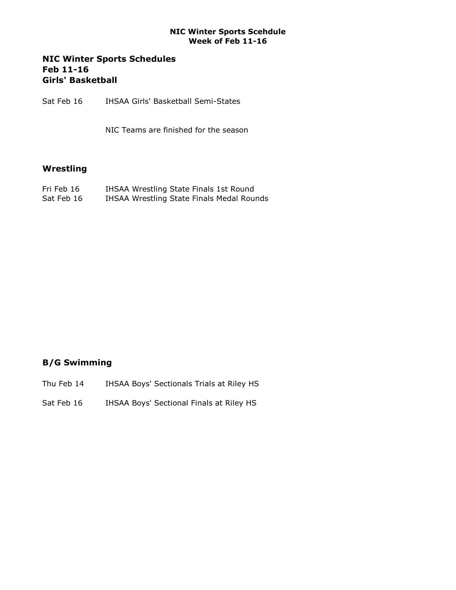#### NIC Winter Sports Scehdule Week of Feb 11-16

## NIC Winter Sports Schedules Feb 11-16 Girls' Basketball

Sat Feb 16 IHSAA Girls' Basketball Semi-States

NIC Teams are finished for the season

## Wrestling

| Fri Feb 16 | IHSAA Wrestling State Finals 1st Round    |
|------------|-------------------------------------------|
| Sat Feb 16 | IHSAA Wrestling State Finals Medal Rounds |

# B/G Swimming

- Thu Feb 14 IHSAA Boys' Sectionals Trials at Riley HS
- Sat Feb 16 IHSAA Boys' Sectional Finals at Riley HS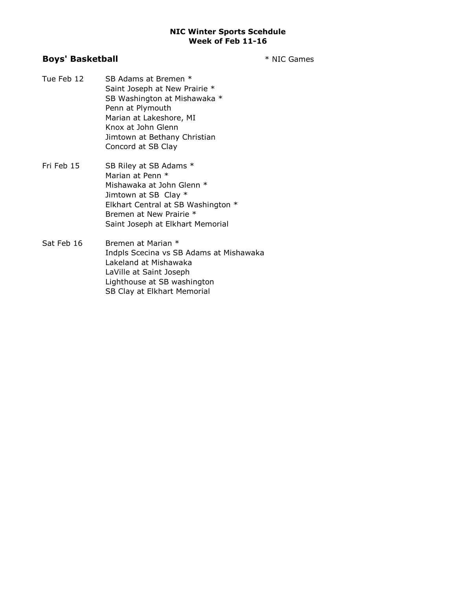#### NIC Winter Sports Scehdule Week of Feb 11-16

### Boys' Basketball **Exercise 2 and Secure 2 and Secure 2 and Secure 2 and Secure 2 and Secure 2 and Secure 2 and Secure 2 and Secure 2 and Secure 2 and Secure 2 and Secure 2 and Secure 2 and Secure 2 and Secure 2 and Secure**

- Tue Feb 12 SB Adams at Bremen \* Saint Joseph at New Prairie \* SB Washington at Mishawaka \* Penn at Plymouth Marian at Lakeshore, MI Knox at John Glenn Jimtown at Bethany Christian Concord at SB Clay
- Fri Feb 15 SB Riley at SB Adams \* Marian at Penn \* Mishawaka at John Glenn \* Jimtown at SB Clay \* Elkhart Central at SB Washington \* Bremen at New Prairie \* Saint Joseph at Elkhart Memorial
- Sat Feb 16 Bremen at Marian \* Indpls Scecina vs SB Adams at Mishawaka Lakeland at Mishawaka LaVille at Saint Joseph Lighthouse at SB washington SB Clay at Elkhart Memorial